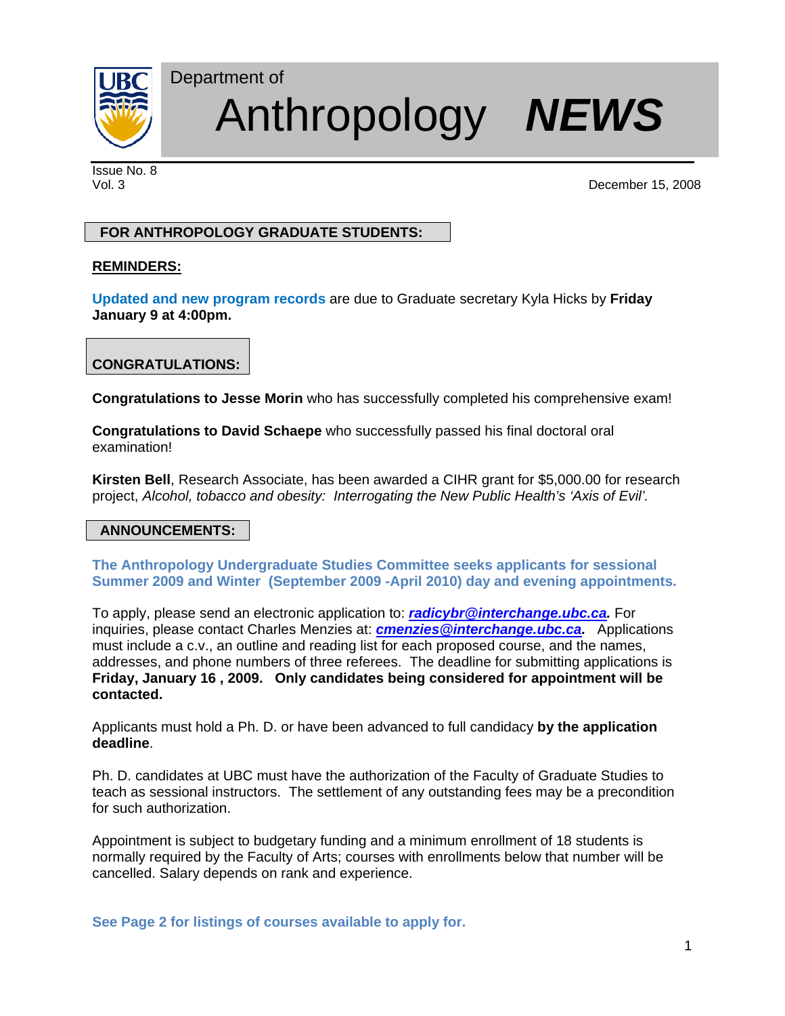

# Department of Anthropology *NEWS*

Issue No. 8

Vol. 3 December 15, 2008

## **FOR ANTHROPOLOGY GRADUATE STUDENTS:**

## **REMINDERS:**

**Updated and new program records** are due to Graduate secretary Kyla Hicks by **Friday January 9 at 4:00pm.** 

# **CONGRATULATIONS:**

**Congratulations to Jesse Morin** who has successfully completed his comprehensive exam!

**Congratulations to David Schaepe** who successfully passed his final doctoral oral examination!

**Kirsten Bell**, Research Associate, has been awarded a CIHR grant for \$5,000.00 for research project, *Alcohol, tobacco and obesity: Interrogating the New Public Health's 'Axis of Evil'.*

## **ANNOUNCEMENTS:**

**The Anthropology Undergraduate Studies Committee seeks applicants for sessional Summer 2009 and Winter (September 2009 -April 2010) day and evening appointments.** 

To apply, please send an electronic application to: *radicybr@interchange.ubc.ca.* For inquiries, please contact Charles Menzies at: *cmenzies@interchange.ubc.ca.* Applications must include a c.v., an outline and reading list for each proposed course, and the names, addresses, and phone numbers of three referees. The deadline for submitting applications is **Friday, January 16 , 2009. Only candidates being considered for appointment will be contacted.** 

Applicants must hold a Ph. D. or have been advanced to full candidacy **by the application deadline**.

Ph. D. candidates at UBC must have the authorization of the Faculty of Graduate Studies to teach as sessional instructors. The settlement of any outstanding fees may be a precondition for such authorization.

Appointment is subject to budgetary funding and a minimum enrollment of 18 students is normally required by the Faculty of Arts; courses with enrollments below that number will be cancelled. Salary depends on rank and experience.

**See Page 2 for listings of courses available to apply for.**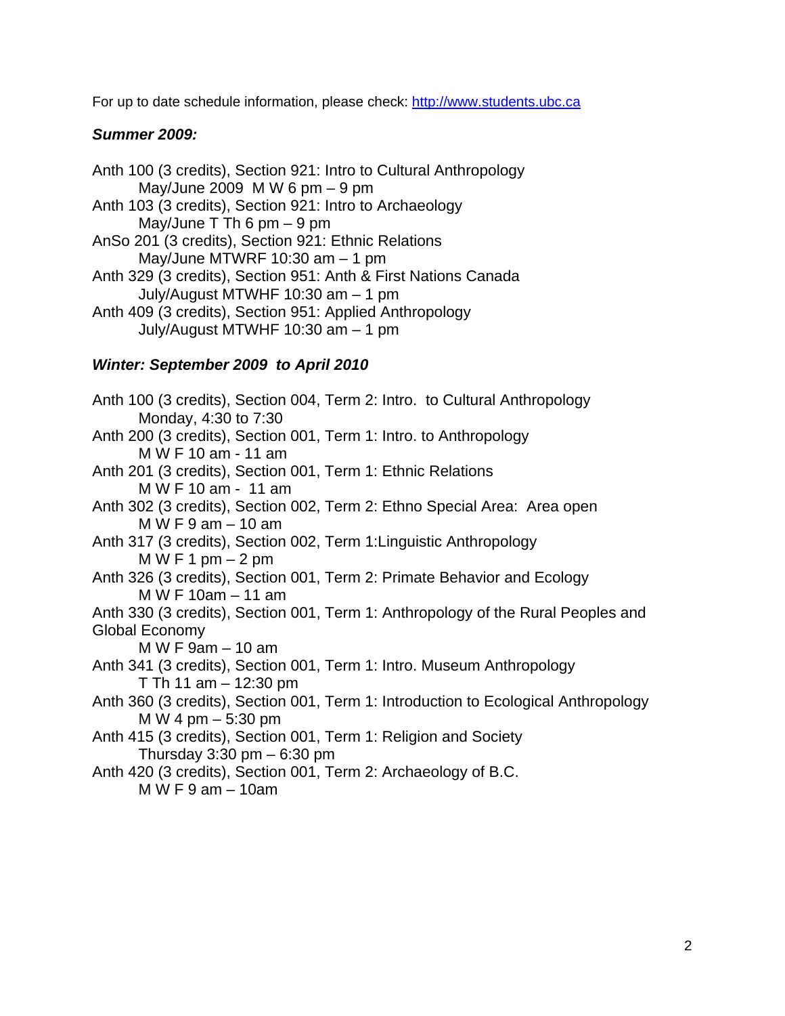For up to date schedule information, please check: http://www.students.ubc.ca

## *Summer 2009:*

Anth 100 (3 credits), Section 921: Intro to Cultural Anthropology May/June 2009 M W 6 pm  $-9$  pm Anth 103 (3 credits), Section 921: Intro to Archaeology May/June  $T$  Th 6 pm  $-9$  pm AnSo 201 (3 credits), Section 921: Ethnic Relations May/June MTWRF 10:30 am – 1 pm Anth 329 (3 credits), Section 951: Anth & First Nations Canada July/August MTWHF 10:30 am – 1 pm Anth 409 (3 credits), Section 951: Applied Anthropology July/August MTWHF 10:30 am – 1 pm

## *Winter: September 2009 to April 2010*

Anth 100 (3 credits), Section 004, Term 2: Intro. to Cultural Anthropology Monday, 4:30 to 7:30 Anth 200 (3 credits), Section 001, Term 1: Intro. to Anthropology M W F 10 am - 11 am Anth 201 (3 credits), Section 001, Term 1: Ethnic Relations M W F 10 am - 11 am Anth 302 (3 credits), Section 002, Term 2: Ethno Special Area: Area open M W F 9 am – 10 am Anth 317 (3 credits), Section 002, Term 1:Linguistic Anthropology M W F 1 pm  $-2$  pm Anth 326 (3 credits), Section 001, Term 2: Primate Behavior and Ecology M W F 10am – 11 am Anth 330 (3 credits), Section 001, Term 1: Anthropology of the Rural Peoples and Global Economy M W F 9am – 10 am Anth 341 (3 credits), Section 001, Term 1: Intro. Museum Anthropology T Th 11 am – 12:30 pm Anth 360 (3 credits), Section 001, Term 1: Introduction to Ecological Anthropology M W 4 pm – 5:30 pm Anth 415 (3 credits), Section 001, Term 1: Religion and Society Thursday  $3:30$  pm  $-6:30$  pm Anth 420 (3 credits), Section 001, Term 2: Archaeology of B.C. M W F 9 am – 10am